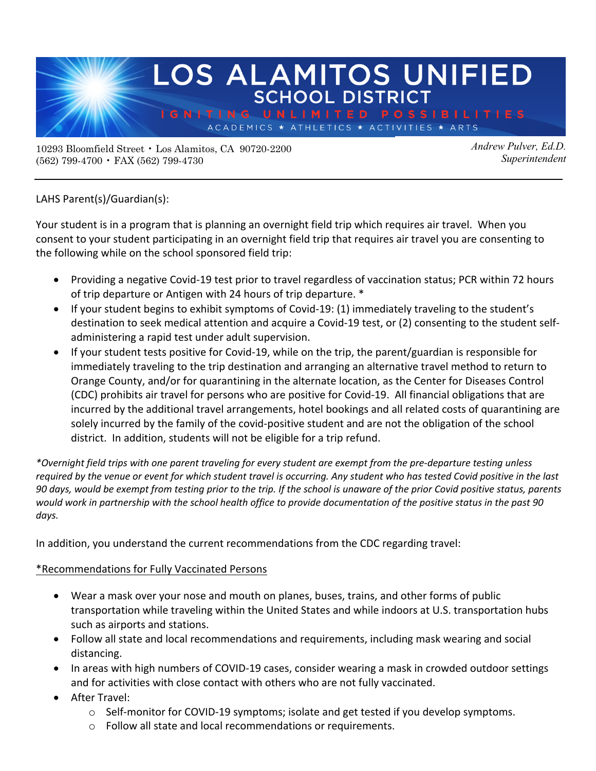

10293 Bloomfield Street • Los Alamitos, CA 90720-2200 (562) 799-4700 • FAX (562) 799-4730

*Andrew Pulver, Ed.D. Superintendent*

LAHS Parent(s)/Guardian(s):

Your student is in a program that is planning an overnight field trip which requires air travel. When you consent to your student participating in an overnight field trip that requires air travel you are consenting to the following while on the school sponsored field trip:

- Providing a negative Covid-19 test prior to travel regardless of vaccination status; PCR within 72 hours of trip departure or Antigen with 24 hours of trip departure. \*
- If your student begins to exhibit symptoms of Covid-19: (1) immediately traveling to the student's destination to seek medical attention and acquire a Covid-19 test, or (2) consenting to the student selfadministering a rapid test under adult supervision.
- If your student tests positive for Covid-19, while on the trip, the parent/guardian is responsible for immediately traveling to the trip destination and arranging an alternative travel method to return to Orange County, and/or for quarantining in the alternate location, as the Center for Diseases Control (CDC) prohibits air travel for persons who are positive for Covid-19. All financial obligations that are incurred by the additional travel arrangements, hotel bookings and all related costs of quarantining are solely incurred by the family of the covid-positive student and are not the obligation of the school district. In addition, students will not be eligible for a trip refund.

*\*Overnight field trips with one parent traveling for every student are exempt from the pre-departure testing unless required by the venue or event for which student travel is occurring. Any student who has tested Covid positive in the last 90 days, would be exempt from testing prior to the trip. If the school is unaware of the prior Covid positive status, parents would work in partnership with the school health office to provide documentation of the positive status in the past 90 days.* 

In addition, you understand the current recommendations from the CDC regarding travel:

## \*Recommendations for Fully Vaccinated Persons

- Wear a mask over your nose and mouth on planes, buses, trains, and other forms of public transportation while traveling within the United States and while indoors at U.S. transportation hubs such as airports and stations.
- Follow all state and local recommendations and requirements, including mask wearing and social distancing.
- In areas with high numbers of COVID-19 cases, consider wearing a mask in crowded outdoor settings and for activities with close contact with others who are not fully vaccinated.
- After Travel:
	- $\circ$  Self-monitor for COVID-19 symptoms; isolate and get tested if you develop symptoms.
	- o Follow all state and local recommendations or requirements.